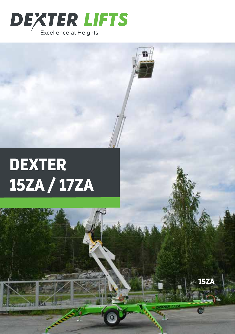

## **DEXTER** 15ZA / 17ZA

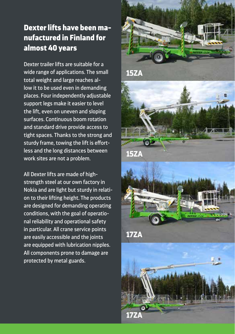## Dexter lifts have been manufactured in Finland for almost 40 years

Dexter trailer lifts are suitable for a wide range of applications. The small total weight and large reaches allow it to be used even in demanding places. Four independently adjustable support legs make it easier to level the lift, even on uneven and sloping surfaces. Continuous boom rotation and standard drive provide access to tight spaces. Thanks to the strong and sturdy frame, towing the lift is effortless and the long distances between work sites are not a problem.

All Dexter lifts are made of highstrength steel at our own factory in Nokia and are light but sturdy in relation to their lifting height. The products are designed for demanding operating conditions, with the goal of operational reliability and operational safety in particular. All crane service points are easily accessible and the joints are equipped with lubrication nipples. All components prone to damage are protected by metal guards.







**17ZA**

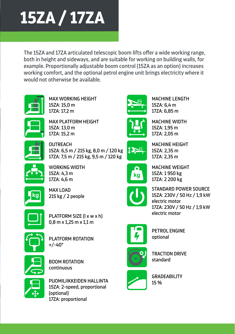

The 15ZA and 17ZA articulated telescopic boom lifts offer a wide working range, both in height and sideways, and are suitable for working on building walls, for example. Proportionally adjustable boom control (15ZA as an option) increases working comfort, and the optional petrol engine unit brings electricity where it would not otherwise be available.



15ZA: 15,0 m 11,9 m MAX WORKING HEIGHT 17ZA: 17,2 m



15ZA: 13,0 m MAX PLATFORM HEIGHT 17ZA: 15,2 m <u>M HE</u>



15ZA: 6,5 m / 215 kg, 8,0 m / 120 kg 5,0 m / 215 kg 5,0 m / 215 kg 17ZA: 7,5 m / 215 kg, 9,5 m / 120 kg **OUTREACH** 



15ZA: 4,3 m WORKING WIDTH 5,0 m / 215 kg 17ZA: 4,6 m



 $\sqrt{2}$  noonle  $\overline{a}$  ,  $\overline{a}$  is proposed in  $\overline{a}$ n noonle 215 kg / 2 people MAX LOAD



ka

STANDARD POWER SOURCE 230V / 50 Hz / 1,9 kW 230V / 50 Hz / 1,9 kW 15ZA: 230V / 50 Hz / 1,9 kW 1300 kg electric motor electric motor 17ZA: 230V / 50 Hz / 1,9 kW



AJOLAITE PETROL ENGINE optional Generaattoriaattoriaattoriaattoriaattoriaattoriaattoriaattoriaattoriaattoriaattoriaattoriaattoriaattoriaattori<br>Sentidoriaattoriaattoriaattoriaattoriaattoriaattoriaattoriaattoriaattoriaattoriaattoriaattoriaattoriaattoriaat



maana muuta ku dara mengenakan ke TRACTION DRIVE standard



GRADEABILITY 15 %



continuous

PLATFORM SIZE (l x w x h) 0,8 m x 1,25 m x 1,1m 0,8 m x 1,25 m x 1,1m 0,8 m x 1,25 m x 1,1 m



PUOMILIIKKEIDEN HALLINTA PUOMILIIKKEIDEN HALLINTA 15ZA: 2-speed, proportional Jatkuva 2-nopeuksinen 2-nopeuksinen PUOMILIIKKEIDEN HALLINTA (optional) 17ZA: proportional

BOOM ROTATION



6,7 m 6,7 m 17ZA: 6,85 m 15ZA: 1,95 m 1,58 m 1,58 m 17ZA: 2,05 m MACHINE WIDTH



15ZA: 2,35 m 2,1 m 2,1 m 17ZA: 2,35 m MACHINE HEIGHT 16 lu<mark>n</mark>

 $15ZA: 6,4 m$ 

6,7 m

MACHINE LENGTH

15ZA: 1 950 kg 1300 kg 1300 kg 17ZA: 2 200 kg MACHINE WEIGHT